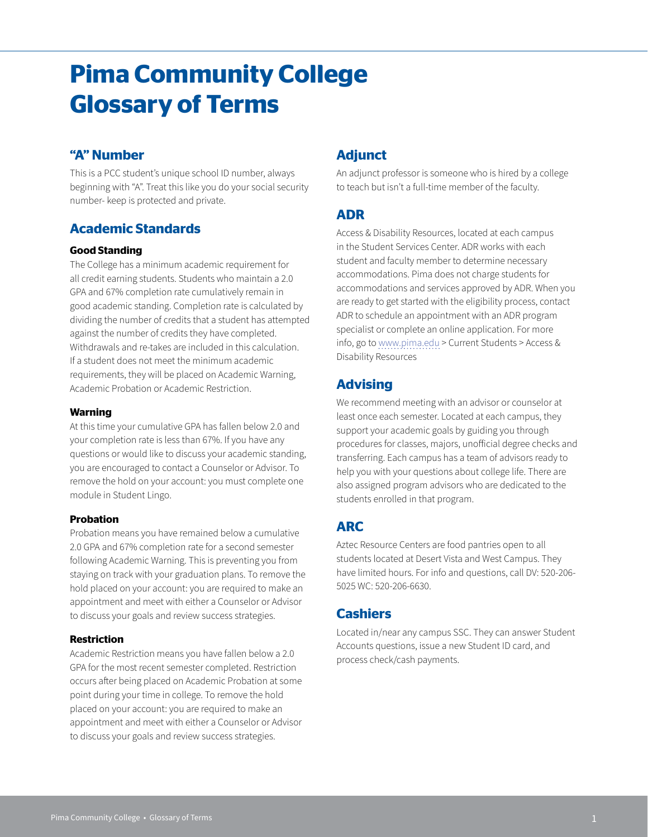# **Pima Community College Glossary of Terms**

# **"A" Number**

This is a PCC student's unique school ID number, always beginning with "A". Treat this like you do your social security number- keep is protected and private.

# **Academic Standards**

#### **Good Standing**

The College has a minimum academic requirement for all credit earning students. Students who maintain a 2.0 GPA and 67% completion rate cumulatively remain in good academic standing. Completion rate is calculated by dividing the number of credits that a student has attempted against the number of credits they have completed. Withdrawals and re-takes are included in this calculation. If a student does not meet the minimum academic requirements, they will be placed on Academic Warning, Academic Probation or Academic Restriction.

#### **Warning**

At this time your cumulative GPA has fallen below 2.0 and your completion rate is less than 67%. If you have any questions or would like to discuss your academic standing, you are encouraged to contact a Counselor or Advisor. To remove the hold on your account: you must complete one module in Student Lingo.

#### **Probation**

Probation means you have remained below a cumulative 2.0 GPA and 67% completion rate for a second semester following Academic Warning. This is preventing you from staying on track with your graduation plans. To remove the hold placed on your account: you are required to make an appointment and meet with either a Counselor or Advisor to discuss your goals and review success strategies.

#### **Restriction**

Academic Restriction means you have fallen below a 2.0 GPA for the most recent semester completed. Restriction occurs after being placed on Academic Probation at some point during your time in college. To remove the hold placed on your account: you are required to make an appointment and meet with either a Counselor or Advisor to discuss your goals and review success strategies.

# **Adjunct**

An adjunct professor is someone who is hired by a college to teach but isn't a full-time member of the faculty.

# **ADR**

Access & Disability Resources, located at each campus in the Student Services Center. ADR works with each student and faculty member to determine necessary accommodations. Pima does not charge students for accommodations and services approved by ADR. When you are ready to get started with the eligibility process, contact ADR to schedule an appointment with an ADR program specialist or complete an online application. For more info, go to [www.pima.edu](http://www.pima.edu) > Current Students > Access & Disability Resources

# **Advising**

We recommend meeting with an advisor or counselor at least once each semester. Located at each campus, they support your academic goals by guiding you through procedures for classes, majors, unofficial degree checks and transferring. Each campus has a team of advisors ready to help you with your questions about college life. There are also assigned program advisors who are dedicated to the students enrolled in that program.

# **ARC**

Aztec Resource Centers are food pantries open to all students located at Desert Vista and West Campus. They have limited hours. For info and questions, call DV: 520-206- 5025 WC: 520-206-6630.

## **Cashiers**

Located in/near any campus SSC. They can answer Student Accounts questions, issue a new Student ID card, and process check/cash payments.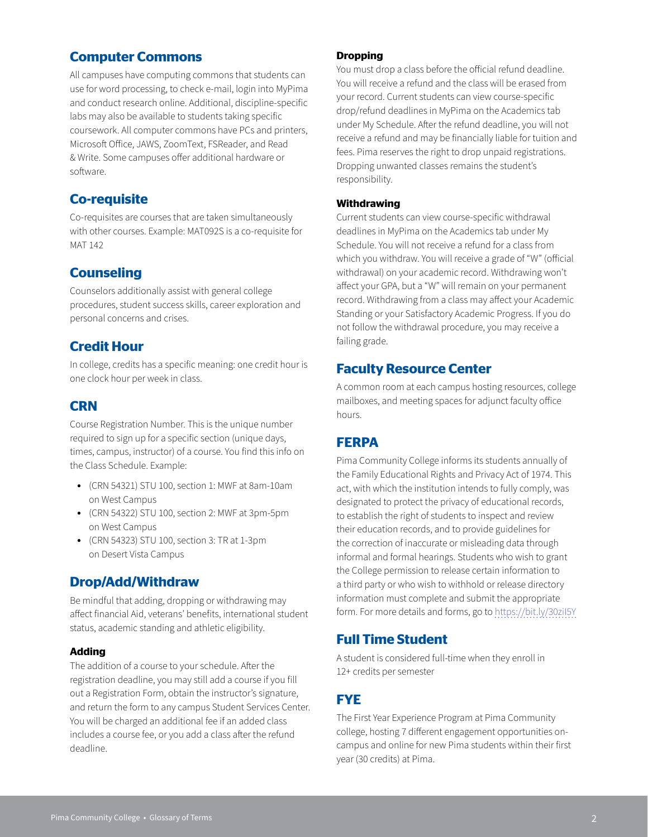# **Computer Commons**

All campuses have computing commons that students can use for word processing, to check e-mail, login into MyPima and conduct research online. Additional, discipline-specific labs may also be available to students taking specific coursework. All computer commons have PCs and printers, Microsoft Office, JAWS, ZoomText, FSReader, and Read & Write. Some campuses offer additional hardware or software.

# **Co-requisite**

Co-requisites are courses that are taken simultaneously with other courses. Example: MAT092S is a co-requisite for MAT 142

# **Counseling**

Counselors additionally assist with general college procedures, student success skills, career exploration and personal concerns and crises.

## **Credit Hour**

In college, credits has a specific meaning: one credit hour is one clock hour per week in class.

# **CRN**

Course Registration Number. This is the unique number required to sign up for a specific section (unique days, times, campus, instructor) of a course. You find this info on the Class Schedule. Example:

- (CRN 54321) STU 100, section 1: MWF at 8am-10am on West Campus
- (CRN 54322) STU 100, section 2: MWF at 3pm-5pm on West Campus
- (CRN 54323) STU 100, section 3: TR at 1-3pm on Desert Vista Campus

## **Drop/Add/Withdraw**

Be mindful that adding, dropping or withdrawing may affect financial Aid, veterans' benefits, international student status, academic standing and athletic eligibility.

#### **Adding**

The addition of a course to your schedule. After the registration deadline, you may still add a course if you fill out a Registration Form, obtain the instructor's signature, and return the form to any campus Student Services Center. You will be charged an additional fee if an added class includes a course fee, or you add a class after the refund deadline.

#### **Dropping**

You must drop a class before the official refund deadline. You will receive a refund and the class will be erased from your record. Current students can view course-specific drop/refund deadlines in MyPima on the Academics tab under My Schedule. After the refund deadline, you will not receive a refund and may be financially liable for tuition and fees. Pima reserves the right to drop unpaid registrations. Dropping unwanted classes remains the student's responsibility.

#### **Withdrawing**

Current students can view course-specific withdrawal deadlines in MyPima on the Academics tab under My Schedule. You will not receive a refund for a class from which you withdraw. You will receive a grade of "W" (official withdrawal) on your academic record. Withdrawing won't affect your GPA, but a "W" will remain on your permanent record. Withdrawing from a class may affect your Academic Standing or your Satisfactory Academic Progress. If you do not follow the withdrawal procedure, you may receive a failing grade.

## **Faculty Resource Center**

A common room at each campus hosting resources, college mailboxes, and meeting spaces for adjunct faculty office hours.

## **FERPA**

Pima Community College informs its students annually of the Family Educational Rights and Privacy Act of 1974. This act, with which the institution intends to fully comply, was designated to protect the privacy of educational records, to establish the right of students to inspect and review their education records, and to provide guidelines for the correction of inaccurate or misleading data through informal and formal hearings. Students who wish to grant the College permission to release certain information to a third party or who wish to withhold or release directory information must complete and submit the appropriate form. For more details and forms, go to <https://bit.ly/30ziI5Y>

## **Full Time Student**

A student is considered full-time when they enroll in 12+ credits per semester

# **FYE**

The First Year Experience Program at Pima Community college, hosting 7 different engagement opportunities oncampus and online for new Pima students within their first year (30 credits) at Pima.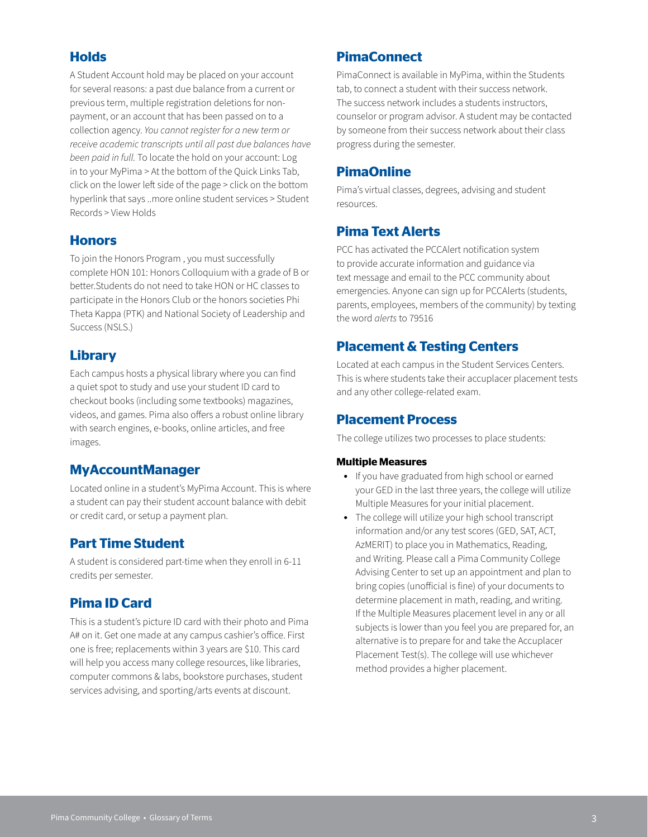# **Holds**

A Student Account hold may be placed on your account for several reasons: a past due balance from a current or previous term, multiple registration deletions for nonpayment, or an account that has been passed on to a collection agency. *You cannot register for a new term or receive academic transcripts until all past due balances have been paid in full.* To locate the hold on your account: Log in to your MyPima > At the bottom of the Quick Links Tab, click on the lower left side of the page > click on the bottom hyperlink that says ..more online student services > Student Records > View Holds

# **Honors**

To join the Honors Program , you must successfully complete HON 101: Honors Colloquium with a grade of B or better.Students do not need to take HON or HC classes to participate in the Honors Club or the honors societies Phi Theta Kappa (PTK) and National Society of Leadership and Success (NSLS.)

# **Library**

Each campus hosts a physical library where you can find a quiet spot to study and use your student ID card to checkout books (including some textbooks) magazines, videos, and games. Pima also offers a robust online library with search engines, e-books, online articles, and free images.

# **MyAccountManager**

Located online in a student's MyPima Account. This is where a student can pay their student account balance with debit or credit card, or setup a payment plan.

# **Part Time Student**

A student is considered part-time when they enroll in 6-11 credits per semester.

# **Pima ID Card**

This is a student's picture ID card with their photo and Pima A# on it. Get one made at any campus cashier's office. First one is free; replacements within 3 years are \$10. This card will help you access many college resources, like libraries, computer commons & labs, bookstore purchases, student services advising, and sporting/arts events at discount.

# **PimaConnect**

PimaConnect is available in MyPima, within the Students tab, to connect a student with their success network. The success network includes a students instructors, counselor or program advisor. A student may be contacted by someone from their success network about their class progress during the semester.

# **PimaOnline**

Pima's virtual classes, degrees, advising and student resources.

# **Pima Text Alerts**

PCC has activated the PCCAlert notification system to provide accurate information and guidance via text message and email to the PCC community about emergencies. Anyone can sign up for PCCAlerts (students, parents, employees, members of the community) by texting the word *alerts* to 79516

# **Placement & Testing Centers**

Located at each campus in the Student Services Centers. This is where students take their accuplacer placement tests and any other college-related exam.

# **Placement Process**

The college utilizes two processes to place students:

#### **Multiple Measures**

- If you have graduated from high school or earned your GED in the last three years, the college will utilize Multiple Measures for your initial placement.
- The college will utilize your high school transcript information and/or any test scores (GED, SAT, ACT, AzMERIT) to place you in Mathematics, Reading, and Writing. Please call a Pima Community College Advising Center to set up an appointment and plan to bring copies (unofficial is fine) of your documents to determine placement in math, reading, and writing. If the Multiple Measures placement level in any or all subjects is lower than you feel you are prepared for, an alternative is to prepare for and take the Accuplacer Placement Test(s). The college will use whichever method provides a higher placement.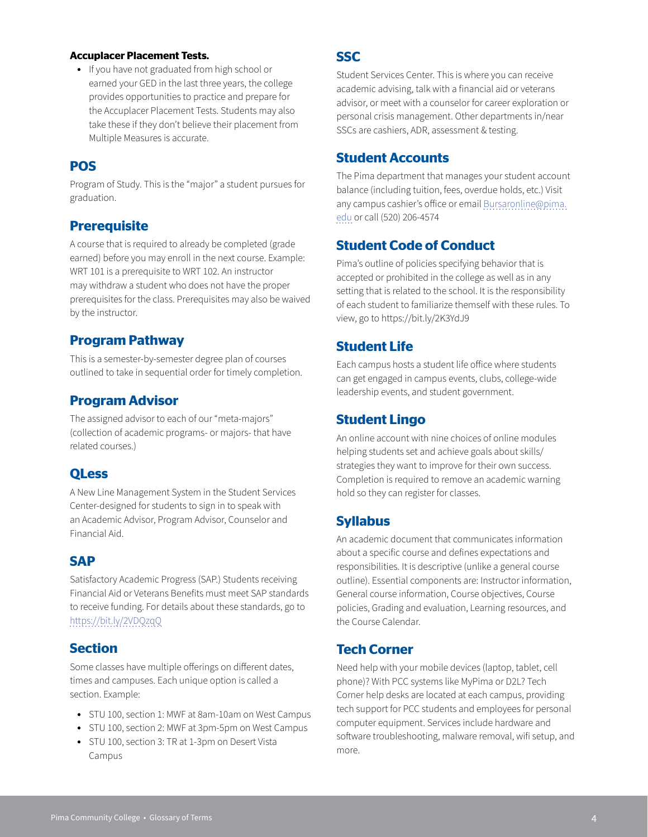#### **Accuplacer Placement Tests.**

• If you have not graduated from high school or earned your GED in the last three years, the college provides opportunities to practice and prepare for the Accuplacer Placement Tests. Students may also take these if they don't believe their placement from Multiple Measures is accurate.

#### **POS**

Program of Study. This is the "major" a student pursues for graduation.

#### **Prerequisite**

A course that is required to already be completed (grade earned) before you may enroll in the next course. Example: WRT 101 is a prerequisite to WRT 102. An instructor may withdraw a student who does not have the proper prerequisites for the class. Prerequisites may also be waived by the instructor.

#### **Program Pathway**

This is a semester-by-semester degree plan of courses outlined to take in sequential order for timely completion.

### **Program Advisor**

The assigned advisor to each of our "meta-majors" (collection of academic programs- or majors- that have related courses.)

#### **QLess**

A New Line Management System in the Student Services Center-designed for students to sign in to speak with an Academic Advisor, Program Advisor, Counselor and Financial Aid.

### **SAP**

Satisfactory Academic Progress (SAP.) Students receiving Financial Aid or Veterans Benefits must meet SAP standards to receive funding. For details about these standards, go to <https://bit.ly/2VDQzqQ>

#### **Section**

Some classes have multiple offerings on different dates, times and campuses. Each unique option is called a section. Example:

- STU 100, section 1: MWF at 8am-10am on West Campus
- STU 100, section 2: MWF at 3pm-5pm on West Campus
- STU 100, section 3: TR at 1-3pm on Desert Vista Campus

## **SSC**

Student Services Center. This is where you can receive academic advising, talk with a financial aid or veterans advisor, or meet with a counselor for career exploration or personal crisis management. Other departments in/near SSCs are cashiers, ADR, assessment & testing.

#### **Student Accounts**

The Pima department that manages your student account balance (including tuition, fees, overdue holds, etc.) Visit any campus cashier's office or email [Bursaronline@pima.](mailto:Bursaronline@pima.edu) [edu](mailto:Bursaronline@pima.edu) or call (520) 206-4574

#### **Student Code of Conduct**

Pima's outline of policies specifying behavior that is accepted or prohibited in the college as well as in any setting that is related to the school. It is the responsibility of each student to familiarize themself with these rules. To view, go to https://bit.ly/2K3YdJ9

### **Student Life**

Each campus hosts a student life office where students can get engaged in campus events, clubs, college-wide leadership events, and student government.

#### **Student Lingo**

An online account with nine choices of online modules helping students set and achieve goals about skills/ strategies they want to improve for their own success. Completion is required to remove an academic warning hold so they can register for classes.

#### **Syllabus**

An academic document that communicates information about a specific course and defines expectations and responsibilities. It is descriptive (unlike a general course outline). Essential components are: Instructor information, General course information, Course objectives, Course policies, Grading and evaluation, Learning resources, and the Course Calendar.

#### **Tech Corner**

Need help with your mobile devices (laptop, tablet, cell phone)? With PCC systems like MyPima or D2L? Tech Corner help desks are located at each campus, providing tech support for PCC students and employees for personal computer equipment. Services include hardware and software troubleshooting, malware removal, wifi setup, and more.